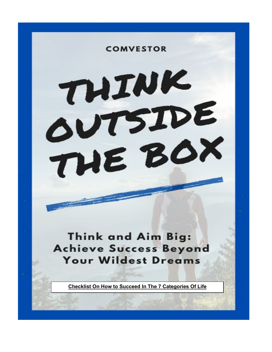THIK OUTSIDE THE BOX

**COMVESTOR** 

**Think and Aim Big: Achieve Success Beyond Your Wildest Dreams** 

**Checklist On How to Succeed In The 7 Categories Of Life**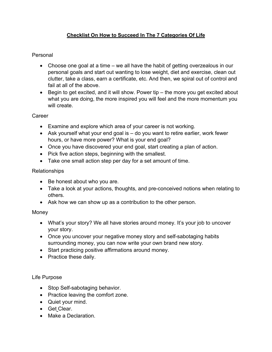# **Checklist On How to Succeed In The 7 Categories Of Life**

## Personal

- Choose one goal at a time we all have the habit of getting overzealous in our personal goals and start out wanting to lose weight, diet and exercise, clean out clutter, take a class, earn a certificate, etc. And then, we spiral out of control and fail at all of the above.
- Begin to get excited, and it will show. Power tip the more you get excited about what you are doing, the more inspired you will feel and the more momentum you will create.

**Career** 

- Examine and explore which area of your career is not working.
- Ask yourself what your end goal is do you want to retire earlier, work fewer hours, or have more power? What is your end goal?
- Once you have discovered your end goal, start creating a plan of action.
- Pick five action steps, beginning with the smallest.
- Take one small action step per day for a set amount of time.

#### **Relationships**

- Be honest about who you are.
- Take a look at your actions, thoughts, and pre-conceived notions when relating to others.
- Ask how we can show up as a contribution to the other person.

#### Money

- What's your story? We all have stories around money. It's your job to uncover your story.
- Once you uncover your negative money story and self-sabotaging habits surrounding money, you can now write your own brand new story.
- Start practicing positive affirmations around money.
- Practice these daily.

#### Life Purpose

- Stop Self-sabotaging behavior.
- Practice leaving the comfort zone.
- Quiet your mind.
- Get Clear.
- Make a Declaration.